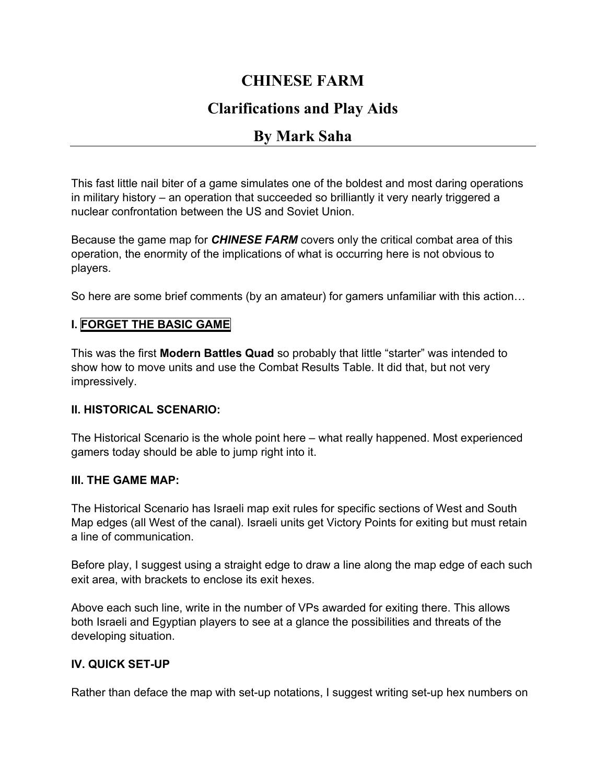# **CHINESE FARM**

# **Clarifications and Play Aids**

# **By Mark Saha**

This fast little nail biter of a game simulates one of the boldest and most daring operations in military history – an operation that succeeded so brilliantly it very nearly triggered a nuclear confrontation between the US and Soviet Union.

Because the game map for *CHINESE FARM* covers only the critical combat area of this operation, the enormity of the implications of what is occurring here is not obvious to players.

So here are some brief comments (by an amateur) for gamers unfamiliar with this action…

#### **I. FORGET THE BASIC GAME**

This was the first **Modern Battles Quad** so probably that little "starter" was intended to show how to move units and use the Combat Results Table. It did that, but not very impressively.

#### **II. HISTORICAL SCENARIO:**

The Historical Scenario is the whole point here – what really happened. Most experienced gamers today should be able to jump right into it.

#### **III. THE GAME MAP:**

The Historical Scenario has Israeli map exit rules for specific sections of West and South Map edges (all West of the canal). Israeli units get Victory Points for exiting but must retain a line of communication.

Before play, I suggest using a straight edge to draw a line along the map edge of each such exit area, with brackets to enclose its exit hexes.

Above each such line, write in the number of VPs awarded for exiting there. This allows both Israeli and Egyptian players to see at a glance the possibilities and threats of the developing situation.

### **IV. QUICK SET-UP**

Rather than deface the map with set-up notations, I suggest writing set-up hex numbers on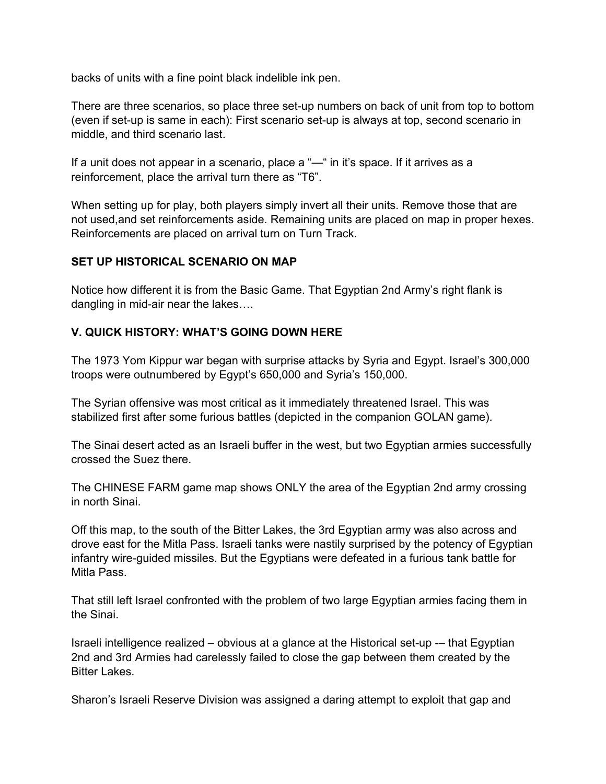backs of units with a fine point black indelible ink pen.

There are three scenarios, so place three set-up numbers on back of unit from top to bottom (even if set-up is same in each): First scenario set-up is always at top, second scenario in middle, and third scenario last.

If a unit does not appear in a scenario, place a "—" in it's space. If it arrives as a reinforcement, place the arrival turn there as "T6".

When setting up for play, both players simply invert all their units. Remove those that are not used,and set reinforcements aside. Remaining units are placed on map in proper hexes. Reinforcements are placed on arrival turn on Turn Track.

### **SET UP HISTORICAL SCENARIO ON MAP**

Notice how different it is from the Basic Game. That Egyptian 2nd Army's right flank is dangling in mid-air near the lakes….

# **V. QUICK HISTORY: WHAT'S GOING DOWN HERE**

The 1973 Yom Kippur war began with surprise attacks by Syria and Egypt. Israel's 300,000 troops were outnumbered by Egypt's 650,000 and Syria's 150,000.

The Syrian offensive was most critical as it immediately threatened Israel. This was stabilized first after some furious battles (depicted in the companion GOLAN game).

The Sinai desert acted as an Israeli buffer in the west, but two Egyptian armies successfully crossed the Suez there.

The CHINESE FARM game map shows ONLY the area of the Egyptian 2nd army crossing in north Sinai.

Off this map, to the south of the Bitter Lakes, the 3rd Egyptian army was also across and drove east for the Mitla Pass. Israeli tanks were nastily surprised by the potency of Egyptian infantry wire-guided missiles. But the Egyptians were defeated in a furious tank battle for Mitla Pass.

That still left Israel confronted with the problem of two large Egyptian armies facing them in the Sinai.

Israeli intelligence realized – obvious at a glance at the Historical set-up -– that Egyptian 2nd and 3rd Armies had carelessly failed to close the gap between them created by the Bitter Lakes.

Sharon's Israeli Reserve Division was assigned a daring attempt to exploit that gap and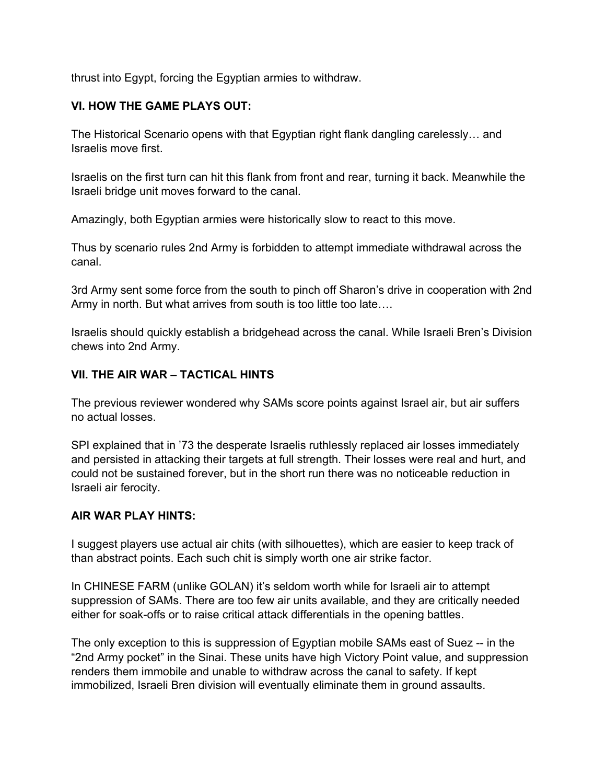thrust into Egypt, forcing the Egyptian armies to withdraw.

# **VI. HOW THE GAME PLAYS OUT:**

The Historical Scenario opens with that Egyptian right flank dangling carelessly… and Israelis move first.

Israelis on the first turn can hit this flank from front and rear, turning it back. Meanwhile the Israeli bridge unit moves forward to the canal.

Amazingly, both Egyptian armies were historically slow to react to this move.

Thus by scenario rules 2nd Army is forbidden to attempt immediate withdrawal across the canal.

3rd Army sent some force from the south to pinch off Sharon's drive in cooperation with 2nd Army in north. But what arrives from south is too little too late….

Israelis should quickly establish a bridgehead across the canal. While Israeli Bren's Division chews into 2nd Army.

# **VII. THE AIR WAR – TACTICAL HINTS**

The previous reviewer wondered why SAMs score points against Israel air, but air suffers no actual losses.

SPI explained that in '73 the desperate Israelis ruthlessly replaced air losses immediately and persisted in attacking their targets at full strength. Their losses were real and hurt, and could not be sustained forever, but in the short run there was no noticeable reduction in Israeli air ferocity.

### **AIR WAR PLAY HINTS:**

I suggest players use actual air chits (with silhouettes), which are easier to keep track of than abstract points. Each such chit is simply worth one air strike factor.

In CHINESE FARM (unlike GOLAN) it's seldom worth while for Israeli air to attempt suppression of SAMs. There are too few air units available, and they are critically needed either for soak-offs or to raise critical attack differentials in the opening battles.

The only exception to this is suppression of Egyptian mobile SAMs east of Suez -- in the "2nd Army pocket" in the Sinai. These units have high Victory Point value, and suppression renders them immobile and unable to withdraw across the canal to safety. If kept immobilized, Israeli Bren division will eventually eliminate them in ground assaults.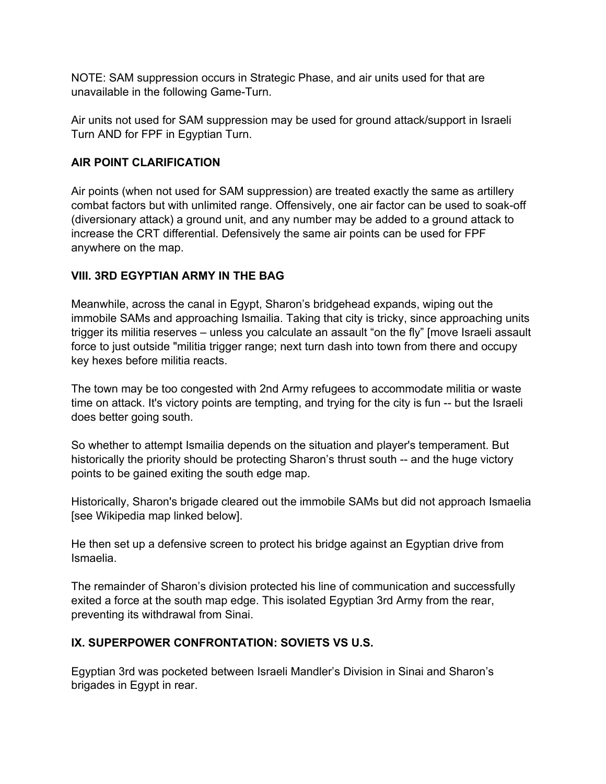NOTE: SAM suppression occurs in Strategic Phase, and air units used for that are unavailable in the following Game-Turn.

Air units not used for SAM suppression may be used for ground attack/support in Israeli Turn AND for FPF in Egyptian Turn.

### **AIR POINT CLARIFICATION**

Air points (when not used for SAM suppression) are treated exactly the same as artillery combat factors but with unlimited range. Offensively, one air factor can be used to soak-off (diversionary attack) a ground unit, and any number may be added to a ground attack to increase the CRT differential. Defensively the same air points can be used for FPF anywhere on the map.

### **VIII. 3RD EGYPTIAN ARMY IN THE BAG**

Meanwhile, across the canal in Egypt, Sharon's bridgehead expands, wiping out the immobile SAMs and approaching Ismailia. Taking that city is tricky, since approaching units trigger its militia reserves – unless you calculate an assault "on the fly" [move Israeli assault force to just outside "militia trigger range; next turn dash into town from there and occupy key hexes before militia reacts.

The town may be too congested with 2nd Army refugees to accommodate militia or waste time on attack. It's victory points are tempting, and trying for the city is fun -- but the Israeli does better going south.

So whether to attempt Ismailia depends on the situation and player's temperament. But historically the priority should be protecting Sharon's thrust south -- and the huge victory points to be gained exiting the south edge map.

Historically, Sharon's brigade cleared out the immobile SAMs but did not approach Ismaelia [see Wikipedia map linked below].

He then set up a defensive screen to protect his bridge against an Egyptian drive from Ismaelia.

The remainder of Sharon's division protected his line of communication and successfully exited a force at the south map edge. This isolated Egyptian 3rd Army from the rear, preventing its withdrawal from Sinai.

### **IX. SUPERPOWER CONFRONTATION: SOVIETS VS U.S.**

Egyptian 3rd was pocketed between Israeli Mandler's Division in Sinai and Sharon's brigades in Egypt in rear.